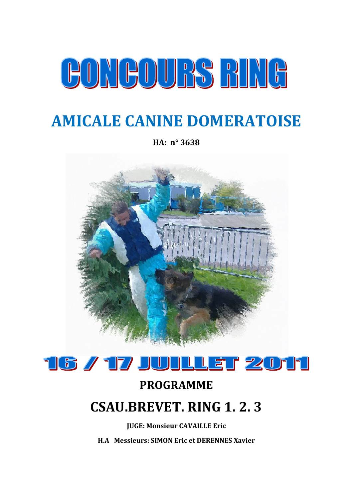# CONGOURS BING

## **AMICALE CANINE DOMERATOISE**

**HA: n° 3638**





#### **PROGRAMME**

## **CSAU.BREVET. RING 1. 2. 3**

**JUGE: Monsieur CAVAILLE Eric**

**H.A Messieurs: SIMON Eric et DERENNES Xavier**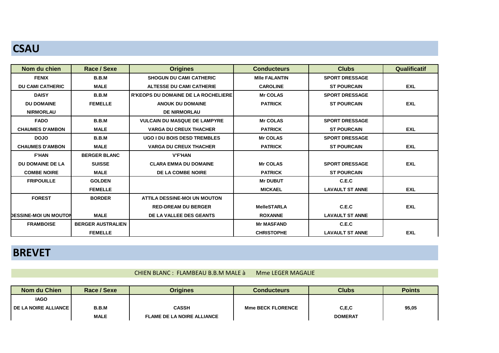## **CSAU**

| Nom du chien                 | Race / Sexe              | <b>Origines</b>                            | <b>Conducteurs</b>   | <b>Clubs</b>           | <b>Qualificatif</b> |
|------------------------------|--------------------------|--------------------------------------------|----------------------|------------------------|---------------------|
| <b>FENIX</b>                 | B.B.M                    | <b>SHOGUN DU CAMI CATHERIC</b>             | <b>MIIe FALANTIN</b> | <b>SPORT DRESSAGE</b>  |                     |
| <b>DU CAMI CATHERIC</b>      | <b>MALE</b>              | <b>ALTESSE DU CAMI CATHERIE</b>            | <b>CAROLINE</b>      | <b>ST POURCAIN</b>     | <b>EXL</b>          |
| <b>DAISY</b>                 | B.B.M                    | <b>R'KEOPS DU DOMAINE DE LA ROCHELIERE</b> | <b>Mr COLAS</b>      | <b>SPORT DRESSAGE</b>  |                     |
| <b>DU DOMAINE</b>            | <b>FEMELLE</b>           | <b>ANOUK DU DOMAINE</b>                    | <b>PATRICK</b>       | <b>ST POURCAIN</b>     | <b>EXL</b>          |
| <b>NIRMORLAU</b>             |                          | <b>DE NIRMORLAU</b>                        |                      |                        |                     |
| <b>FADO</b>                  | B.B.M                    | <b>VULCAIN DU MASQUE DE LAMPYRE</b>        | <b>Mr COLAS</b>      | <b>SPORT DRESSAGE</b>  |                     |
| <b>CHAUMES D'AMBON</b>       | <b>MALE</b>              | <b>VARGA DU CREUX THACHER</b>              | <b>PATRICK</b>       | <b>ST POURCAIN</b>     | <b>EXL</b>          |
| <b>DOJO</b>                  | B.B.M                    | <b>UGO I DU BOIS DESD TREMBLES</b>         | <b>Mr COLAS</b>      | <b>SPORT DRESSAGE</b>  |                     |
| <b>CHAUMES D'AMBON</b>       | <b>MALE</b>              | <b>VARGA DU CREUX THACHER</b>              | <b>PATRICK</b>       | <b>ST POURCAIN</b>     | <b>EXL</b>          |
| <b>F'HAN</b>                 | <b>BERGER BLANC</b>      | <b>V'F'HAN</b>                             |                      |                        |                     |
| DU DOMAINE DE LA             | <b>SUISSE</b>            | <b>CLARA EMMA DU DOMAINE</b>               | <b>Mr COLAS</b>      | <b>SPORT DRESSAGE</b>  | <b>EXL</b>          |
| <b>COMBE NOIRE</b>           | <b>MALE</b>              | <b>DE LA COMBE NOIRE</b>                   | <b>PATRICK</b>       | <b>ST POURCAIN</b>     |                     |
| <b>FRIPOUILLE</b>            | <b>GOLDEN</b>            |                                            | <b>Mr DUBUT</b>      | C.E.C                  |                     |
|                              | <b>FEMELLE</b>           |                                            | <b>MICKAEL</b>       | <b>LAVAULT ST ANNE</b> | <b>EXL</b>          |
| <b>FOREST</b>                | <b>BORDER</b>            | <b>ATTILA DESSINE-MOI UN MOUTON</b>        |                      |                        |                     |
|                              |                          | <b>RED-DREAM DU BERGER</b>                 | <b>MelleSTARLA</b>   | C.E.C                  | <b>EXL</b>          |
| <b>DESSINE-MOI UN MOUTON</b> | <b>MALE</b>              | DE LA VALLEE DES GEANTS                    | <b>ROXANNE</b>       | <b>LAVAULT ST ANNE</b> |                     |
| <b>FRAMBOISE</b>             | <b>BERGER AUSTRALIEN</b> |                                            | <b>Mr MASFAND</b>    | C.E.C                  |                     |
|                              | <b>FEMELLE</b>           |                                            | <b>CHRISTOPHE</b>    | <b>LAVAULT ST ANNE</b> | <b>EXL</b>          |

#### **BREVET**

#### CHIEN BLANC : FLAMBEAU B.B.M MALE à Mme LEGER MAGALIE

| Nom du Chien             | Race / Sexe  | <b>Origines</b>                   | <b>Conducteurs</b>       | <b>Clubs</b>   | <b>Points</b> |
|--------------------------|--------------|-----------------------------------|--------------------------|----------------|---------------|
| <b>IAGO</b>              |              |                                   |                          |                |               |
| I DE LA NOIRE ALLIANCE I | <b>B.B.M</b> | <b>CASSH</b>                      | <b>Mme BECK FLORENCE</b> | C, E, C        | 95,05         |
|                          | <b>MALE</b>  | <b>FLAME DE LA NOIRE ALLIANCE</b> |                          | <b>DOMERAT</b> |               |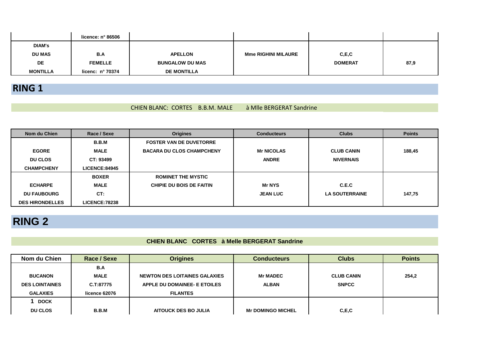|                 | licence: n° 86506         |                        |                            |                |      |
|-----------------|---------------------------|------------------------|----------------------------|----------------|------|
| <b>DIAM's</b>   |                           |                        |                            |                |      |
| <b>DU MAS</b>   | B.A                       | <b>APELLON</b>         | <b>Mme RIGHINI MILAURE</b> | C, E, C        |      |
| DE              | <b>FEMELLE</b>            | <b>BUNGALOW DU MAS</b> |                            | <b>DOMERAT</b> | 87,9 |
| <b>MONTILLA</b> | licenc: $n^{\circ}$ 70374 | <b>DE MONTILLA</b>     |                            |                |      |

#### **RING 1**

#### CHIEN BLANC: CORTES B.B.M. MALE à Mlle BERGERAT Sandrine

| Nom du Chien           | Race / Sexe           | <b>Origines</b>                  | <b>Conducteurs</b> | <b>Clubs</b>          | <b>Points</b> |
|------------------------|-----------------------|----------------------------------|--------------------|-----------------------|---------------|
|                        | <b>B.B.M</b>          | <b>FOSTER VAN DE DUVETORRE</b>   |                    |                       |               |
| <b>EGORE</b>           | <b>MALE</b>           | <b>BACARA DU CLOS CHAMPCHENY</b> | <b>Mr NICOLAS</b>  | <b>CLUB CANIN</b>     | 188,45        |
| <b>DU CLOS</b>         | CT: 93499             |                                  | <b>ANDRE</b>       | <b>NIVERNAIS</b>      |               |
| <b>CHAMPCHENY</b>      | <b>LICENCE:84945</b>  |                                  |                    |                       |               |
|                        | <b>BOXER</b>          | <b>ROMINET THE MYSTIC</b>        |                    |                       |               |
| <b>ECHARPE</b>         | MALE                  | <b>CHIPIE DU BOIS DE FAITIN</b>  | <b>Mr NYS</b>      | C.E.C                 |               |
| <b>DU FAUBOURG</b>     | CT:                   |                                  | <b>JEAN LUC</b>    | <b>LA SOUTERRAINE</b> | 147,75        |
| <b>DES HIRONDELLES</b> | <b>LICENCE: 78238</b> |                                  |                    |                       |               |

## **RING 2**

#### **CHIEN BLANC CORTES à Melle BERGERAT Sandrine**

| Nom du Chien          | Race / Sexe   | <b>Origines</b>               | <b>Conducteurs</b>       | <b>Clubs</b>      | <b>Points</b> |
|-----------------------|---------------|-------------------------------|--------------------------|-------------------|---------------|
|                       | B.A           |                               |                          |                   |               |
| <b>BUCANON</b>        | <b>MALE</b>   | NEWTON DES LOITAINES GALAXIES | <b>Mr MADEC</b>          | <b>CLUB CANIN</b> | 254,2         |
| <b>DES LOINTAINES</b> | C.T:87775     | APPLE DU DOMAINEE- E ETOILES  | <b>ALBAN</b>             | <b>SNPCC</b>      |               |
| <b>GALAXIES</b>       | licence 62076 | <b>FILANTES</b>               |                          |                   |               |
| <b>DOCK</b>           |               |                               |                          |                   |               |
| <b>DU CLOS</b>        | B.B.M         | <b>AITOUCK DES BO JULIA</b>   | <b>Mr DOMINGO MICHEL</b> | C, E, C           |               |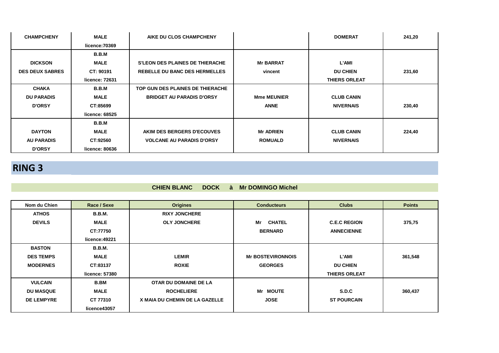| <b>CHAMPCHENY</b>      | <b>MALE</b>    | AIKE DU CLOS CHAMPCHENY                |                    | <b>DOMERAT</b>       | 241,20 |
|------------------------|----------------|----------------------------------------|--------------------|----------------------|--------|
|                        | licence:70369  |                                        |                    |                      |        |
|                        | <b>B.B.M</b>   |                                        |                    |                      |        |
| <b>DICKSON</b>         | <b>MALE</b>    | <b>S'LEON DES PLAINES DE THIERACHE</b> | <b>Mr BARRAT</b>   | <b>L'AMI</b>         |        |
| <b>DES DEUX SABRES</b> | CT: 90191      | REBELLE DU BANC DES HERMELLES          | vincent            | <b>DU CHIEN</b>      | 231,60 |
|                        | licence: 72631 |                                        |                    | <b>THIERS ORLEAT</b> |        |
| <b>CHAKA</b>           | B.B.M          | TOP GUN DES PLAINES DE THIERACHE       |                    |                      |        |
| <b>DU PARADIS</b>      | <b>MALE</b>    | <b>BRIDGET AU PARADIS D'ORSY</b>       | <b>Mme MEUNIER</b> | <b>CLUB CANIN</b>    |        |
| <b>D'ORSY</b>          | CT:85699       |                                        | <b>ANNE</b>        | <b>NIVERNAIS</b>     | 230,40 |
|                        | licence: 68525 |                                        |                    |                      |        |
|                        | B.B.M          |                                        |                    |                      |        |
| <b>DAYTON</b>          | <b>MALE</b>    | AKIM DES BERGERS D'ECOUVES             | <b>Mr ADRIEN</b>   | <b>CLUB CANIN</b>    | 224,40 |
| <b>AU PARADIS</b>      | CT:92560       | <b>VOLCANE AU PARADIS D'ORSY</b>       | <b>ROMUALD</b>     | <b>NIVERNAIS</b>     |        |
| <b>D'ORSY</b>          | licence: 80636 |                                        |                    |                      |        |

## **RING 3**

#### **CHIEN BLANC DOCK à Mr DOMINGO Michel**

| Nom du Chien      | Race / Sexe    | <b>Origines</b>                | <b>Conducteurs</b>       | <b>Clubs</b>         | <b>Points</b> |
|-------------------|----------------|--------------------------------|--------------------------|----------------------|---------------|
| <b>ATHOS</b>      | <b>B.B.M.</b>  | <b>RIXY JONCHERE</b>           |                          |                      |               |
| <b>DEVILS</b>     | <b>MALE</b>    | <b>OLY JONCHERE</b>            | Mr<br><b>CHATEL</b>      | <b>C.E.C REGION</b>  | 375,75        |
|                   | CT:77750       |                                | <b>BERNARD</b>           | <b>ANNECIENNE</b>    |               |
|                   | licence: 49221 |                                |                          |                      |               |
| <b>BASTON</b>     | <b>B.B.M.</b>  |                                |                          |                      |               |
| <b>DES TEMPS</b>  | <b>MALE</b>    | <b>LEMIR</b>                   | <b>Mr BOSTEVIRONNOIS</b> | L'AMI                | 361,548       |
| <b>MODERNES</b>   | CT:83137       | <b>ROXIE</b>                   | <b>GEORGES</b>           | <b>DU CHIEN</b>      |               |
|                   | licence: 57380 |                                |                          | <b>THIERS ORLEAT</b> |               |
| <b>VULCAIN</b>    | <b>B.BM</b>    | OTAR DU DOMAINE DE LA          |                          |                      |               |
| <b>DU MASQUE</b>  | <b>MALE</b>    | <b>ROCHELIERE</b>              | Mr MOUTE                 | S.D.C                | 360,437       |
| <b>DE LEMPYRE</b> | CT 77310       | X MAIA DU CHEMIN DE LA GAZELLE | <b>JOSE</b>              | <b>ST POURCAIN</b>   |               |
|                   | licence43057   |                                |                          |                      |               |